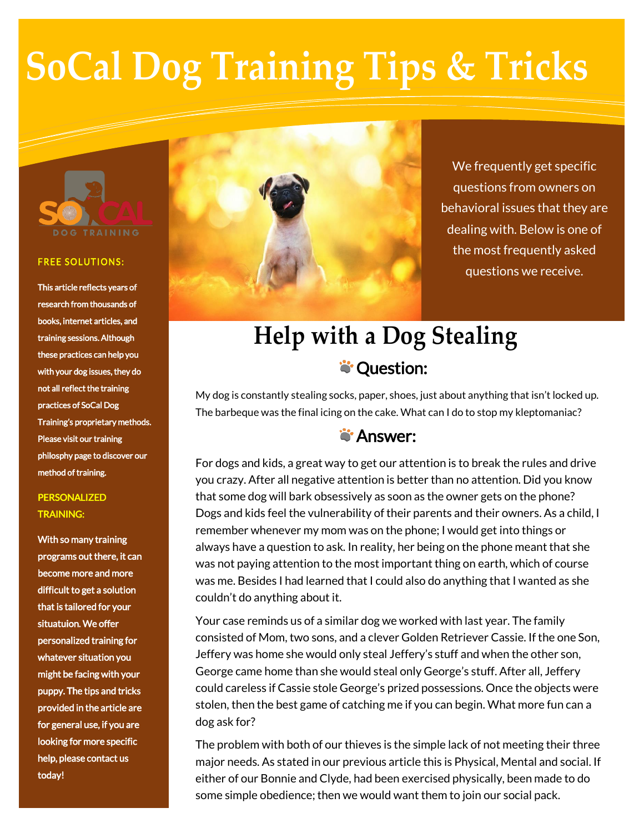# **SoCal Dog Training Tips & Tricks**



#### **FREE SOLUTIONS:**

This article reflects years of research from thousands of books, internet articles, and training sessions. Although these practices can help you with your dog issues, they do not all reflect the training practices of SoCal Dog Training's proprietary methods. Please visit our training philosphy page to discover our method of training.

#### PERSONALIZED TRAINING:

With so many training programs out there, it can become more and more difficult to get a solution that is tailored for your situatuion. We offer personalized training for whatever situation you might be facing with your puppy. The tips and tricks provided in the article are for general use, if you are looking for more specific help, please contact us today!



We frequently get specific questions from owners on behavioral issues that they are dealing with. Below is one of the most frequently asked questions we receive.

## **Help with a Dog Stealing S**: Question:

My dog is constantly stealing socks, paper, shoes, just about anything that isn't locked up. The barbeque was the final icing on the cake. What can I do to stop my kleptomaniac?

### **S**'Answer:

For dogs and kids, a great way to get our attention is to break the rules and drive you crazy. After all negative attention is better than no attention. Did you know that some dog will bark obsessively as soon as the owner gets on the phone? Dogs and kids feel the vulnerability of their parents and their owners. As a child, I remember whenever my mom was on the phone; I would get into things or always have a question to ask. In reality, her being on the phone meant that she was not paying attention to the most important thing on earth, which of course was me. Besides I had learned that I could also do anything that I wanted as she couldn't do anything about it.

Your case reminds us of a similar dog we worked with last year. The family consisted of Mom, two sons, and a clever Golden Retriever Cassie. If the one Son, Jeffery was home she would only steal Jeffery's stuff and when the other son, George came home than she would steal only George's stuff. After all, Jeffery could careless if Cassie stole George's prized possessions. Once the objects were stolen, then the best game of catching me if you can begin. What more fun can a dog ask for?

The problem with both of our thieves is the simple lack of not meeting their three major needs. As stated in our previous article this is Physical, Mental and social. If either of our Bonnie and Clyde, had been exercised physically, been made to do some simple obedience; then we would want them to join our social pack.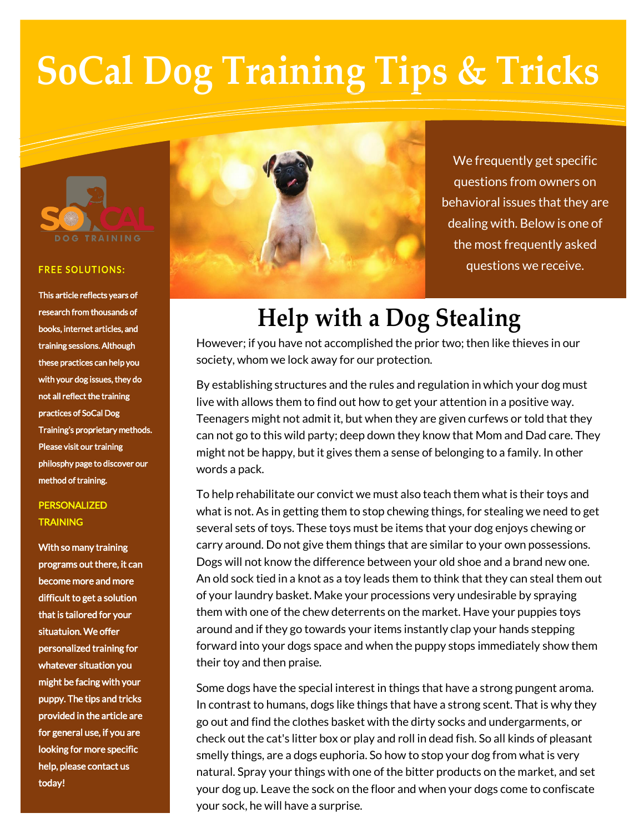# **SoCal Dog Training Tips & Tricks**



#### **FREE SOLUTIONS:**

This article reflects years of research from thousands of books, internet articles, and training sessions. Although these practices can help you with your dog issues, they do not all reflect the training practices of SoCal Dog Training's proprietary methods. Please visit our training philosphy page to discover our method of training.

### PERSONALIZED **TRAINING**

With so many training programs out there, it can become more and more difficult to get a solution that is tailored for your situatuion. We offer personalized training for whatever situation you might be facing with your puppy. The tips and tricks provided in the article are for general use, if you are looking for more specific help, please contact us today!



We frequently get specific questions from owners on behavioral issues that they are dealing with. Below is one of the most frequently asked questions we receive.

## **Help with a Dog Stealing**

However; if you have not accomplished the prior two; then like thieves in our society, whom we lock away for our protection.

By establishing structures and the rules and regulation in which your dog must live with allows them to find out how to get your attention in a positive way. Teenagers might not admit it, but when they are given curfews or told that they can not go to this wild party; deep down they know that Mom and Dad care. They might not be happy, but it gives them a sense of belonging to a family. In other words a pack.

To help rehabilitate our convict we must also teach them what is their toys and what is not. As in getting them to stop chewing things, for stealing we need to get several sets of toys. These toys must be items that your dog enjoys chewing or carry around. Do not give them things that are similar to your own possessions. Dogs will not know the difference between your old shoe and a brand new one. An old sock tied in a knot as a toy leads them to think that they can steal them out of your laundry basket. Make your processions very undesirable by spraying them with one of the chew deterrents on the market. Have your puppies toys around and if they go towards your items instantly clap your hands stepping forward into your dogs space and when the puppy stops immediately show them their toy and then praise.

Some dogs have the special interest in things that have a strong pungent aroma. In contrast to humans, dogs like things that have a strong scent. That is why they go out and find the clothes basket with the dirty socks and undergarments, or check out the cat's litter box or play and roll in dead fish. So all kinds of pleasant smelly things, are a dogs euphoria. So how to stop your dog from what is very natural. Spray your things with one of the bitter products on the market, and set your dog up. Leave the sock on the floor and when your dogs come to confiscate your sock, he will have a surprise.